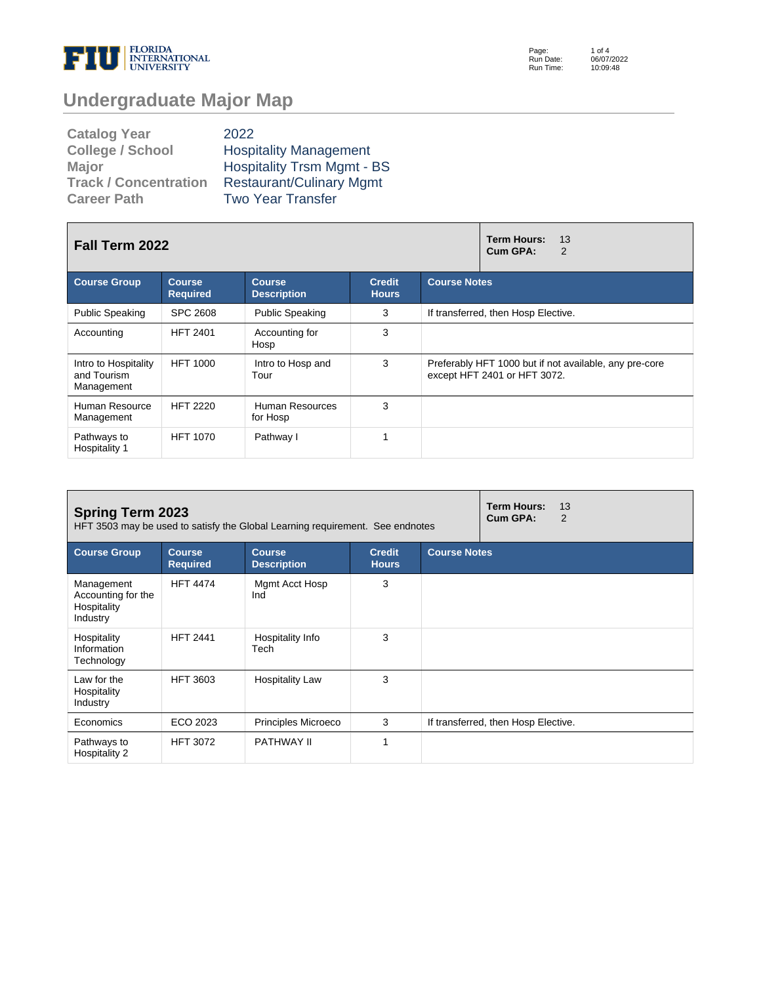

Page: Run Date: Run Time: 1 of 4 06/07/2022 10:09:48

# **Undergraduate Major Map**

| <b>Catalog Year</b>          | 2022                              |
|------------------------------|-----------------------------------|
| <b>College / School</b>      | <b>Hospitality Management</b>     |
| <b>Major</b>                 | <b>Hospitality Trsm Mgmt - BS</b> |
| <b>Track / Concentration</b> | <b>Restaurant/Culinary Mgmt</b>   |
| <b>Career Path</b>           | <b>Two Year Transfer</b>          |

| Fall Term 2022                                    |                                                                                                          |                             |   | 13<br>Term Hours:<br>Cum GPA:<br>2                                                     |  |  |  |
|---------------------------------------------------|----------------------------------------------------------------------------------------------------------|-----------------------------|---|----------------------------------------------------------------------------------------|--|--|--|
| <b>Course Group</b>                               | <b>Credit</b><br><b>Course</b><br><b>Course</b><br><b>Required</b><br><b>Description</b><br><b>Hours</b> |                             |   | <b>Course Notes</b>                                                                    |  |  |  |
| <b>Public Speaking</b>                            | SPC 2608                                                                                                 | <b>Public Speaking</b>      | 3 | If transferred, then Hosp Elective.                                                    |  |  |  |
| Accounting                                        | <b>HFT 2401</b>                                                                                          | Accounting for<br>Hosp      | 3 |                                                                                        |  |  |  |
| Intro to Hospitality<br>and Tourism<br>Management | <b>HFT 1000</b>                                                                                          | Intro to Hosp and<br>Tour   | 3 | Preferably HFT 1000 but if not available, any pre-core<br>except HFT 2401 or HFT 3072. |  |  |  |
| Human Resource<br>Management                      | <b>HFT 2220</b>                                                                                          | Human Resources<br>for Hosp | 3 |                                                                                        |  |  |  |
| Pathways to<br>Hospitality 1                      | <b>HFT 1070</b>                                                                                          | Pathway I                   | 4 |                                                                                        |  |  |  |

| <b>Spring Term 2023</b><br>HFT 3503 may be used to satisfy the Global Learning requirement. See endnotes |                                                                                                                                 |                          |   |  | <b>Term Hours:</b><br>13<br>Cum GPA:<br>$\overline{2}$ |
|----------------------------------------------------------------------------------------------------------|---------------------------------------------------------------------------------------------------------------------------------|--------------------------|---|--|--------------------------------------------------------|
| <b>Course Group</b>                                                                                      | <b>Course Notes</b><br><b>Course</b><br><b>Course</b><br><b>Credit</b><br><b>Required</b><br><b>Description</b><br><b>Hours</b> |                          |   |  |                                                        |
| Management<br>Accounting for the<br>Hospitality<br>Industry                                              | <b>HFT 4474</b>                                                                                                                 | Mgmt Acct Hosp<br>Ind    | 3 |  |                                                        |
| Hospitality<br>Information<br>Technology                                                                 | <b>HFT 2441</b>                                                                                                                 | Hospitality Info<br>Tech | 3 |  |                                                        |
| Law for the<br>Hospitality<br>Industry                                                                   | <b>HFT 3603</b>                                                                                                                 | <b>Hospitality Law</b>   | 3 |  |                                                        |
| Economics                                                                                                | ECO 2023                                                                                                                        | Principles Microeco      | 3 |  | If transferred, then Hosp Elective.                    |
| Pathways to<br>Hospitality 2                                                                             | <b>HFT 3072</b>                                                                                                                 | PATHWAY II               |   |  |                                                        |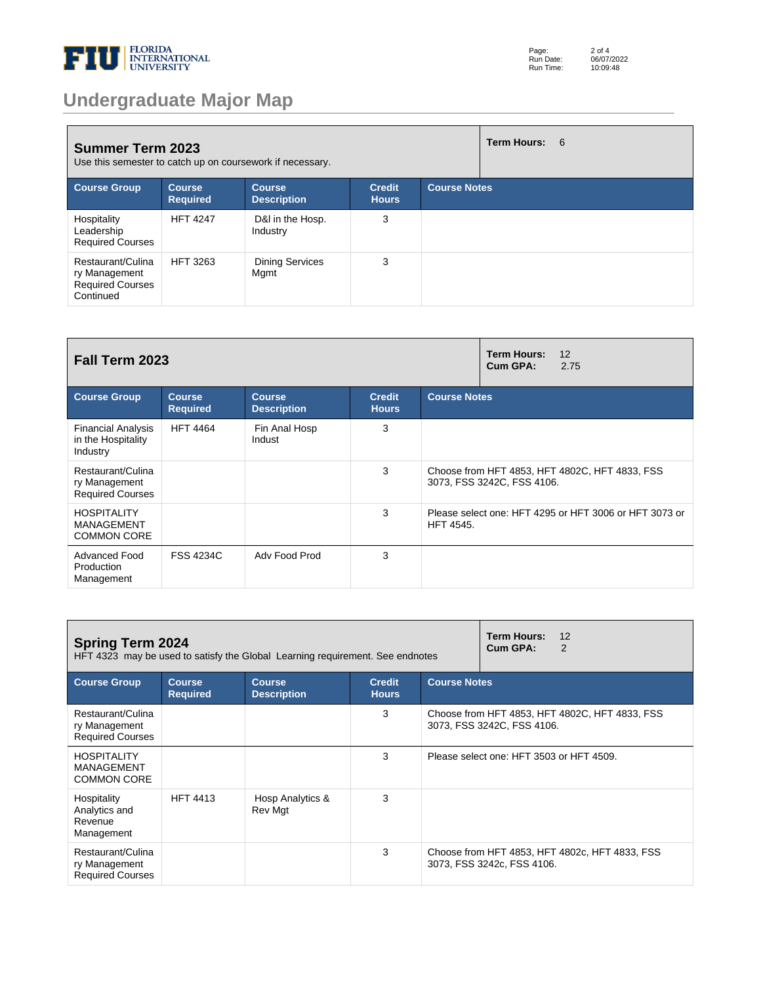

# **Undergraduate Major Map**

| <b>Summer Term 2023</b><br>Use this semester to catch up on coursework if necessary. |                                  |                                     |                               | Term Hours: 6       |  |  |
|--------------------------------------------------------------------------------------|----------------------------------|-------------------------------------|-------------------------------|---------------------|--|--|
| <b>Course Group</b>                                                                  | <b>Course</b><br><b>Required</b> | <b>Course</b><br><b>Description</b> | <b>Credit</b><br><b>Hours</b> | <b>Course Notes</b> |  |  |
| Hospitality<br>Leadership<br><b>Required Courses</b>                                 | <b>HFT 4247</b>                  | D&I in the Hosp.<br>Industry        | 3                             |                     |  |  |
| Restaurant/Culina<br>ry Management<br><b>Required Courses</b><br>Continued           | <b>HFT 3263</b>                  | <b>Dining Services</b><br>Mgmt      | 3                             |                     |  |  |

| Fall Term 2023                                                |                                  |                                     |                               | <b>Term Hours:</b><br>12<br>Cum GPA:<br>2.75 |                                                                              |  |
|---------------------------------------------------------------|----------------------------------|-------------------------------------|-------------------------------|----------------------------------------------|------------------------------------------------------------------------------|--|
| <b>Course Group</b>                                           | <b>Course</b><br><b>Required</b> | <b>Course</b><br><b>Description</b> | <b>Credit</b><br><b>Hours</b> | <b>Course Notes</b>                          |                                                                              |  |
| <b>Financial Analysis</b><br>in the Hospitality<br>Industry   | <b>HFT 4464</b>                  | Fin Anal Hosp<br>Indust             | 3                             |                                              |                                                                              |  |
| Restaurant/Culina<br>ry Management<br><b>Required Courses</b> |                                  |                                     | 3                             |                                              | Choose from HFT 4853, HFT 4802C, HFT 4833, FSS<br>3073, FSS 3242C, FSS 4106. |  |
| <b>HOSPITALITY</b><br>MANAGEMENT<br><b>COMMON CORE</b>        |                                  |                                     | 3                             | <b>HFT 4545.</b>                             | Please select one: HFT 4295 or HFT 3006 or HFT 3073 or                       |  |
| <b>Advanced Food</b><br>Production<br>Management              | <b>FSS 4234C</b>                 | Adv Food Prod                       | 3                             |                                              |                                                                              |  |

| <b>Spring Term 2024</b><br>HFT 4323 may be used to satisfy the Global Learning requirement. See endnotes                                               |                 |                             |   |                                                                              | <b>Term Hours:</b><br>12<br>Cum GPA:<br>2                                    |  |
|--------------------------------------------------------------------------------------------------------------------------------------------------------|-----------------|-----------------------------|---|------------------------------------------------------------------------------|------------------------------------------------------------------------------|--|
| <b>Course Notes</b><br><b>Course Group</b><br><b>Credit</b><br><b>Course</b><br><b>Course</b><br><b>Required</b><br><b>Description</b><br><b>Hours</b> |                 |                             |   |                                                                              |                                                                              |  |
| Restaurant/Culina<br>ry Management<br><b>Required Courses</b>                                                                                          |                 |                             | 3 | Choose from HFT 4853, HFT 4802C, HFT 4833, FSS<br>3073, FSS 3242C, FSS 4106. |                                                                              |  |
| <b>HOSPITALITY</b><br><b>MANAGEMENT</b><br><b>COMMON CORE</b>                                                                                          |                 |                             | 3 | Please select one: HFT 3503 or HFT 4509.                                     |                                                                              |  |
| Hospitality<br>Analytics and<br>Revenue<br>Management                                                                                                  | <b>HFT 4413</b> | Hosp Analytics &<br>Rev Mgt | 3 |                                                                              |                                                                              |  |
| Restaurant/Culina<br>ry Management<br><b>Required Courses</b>                                                                                          |                 |                             | 3 |                                                                              | Choose from HFT 4853, HFT 4802c, HFT 4833, FSS<br>3073, FSS 3242c, FSS 4106. |  |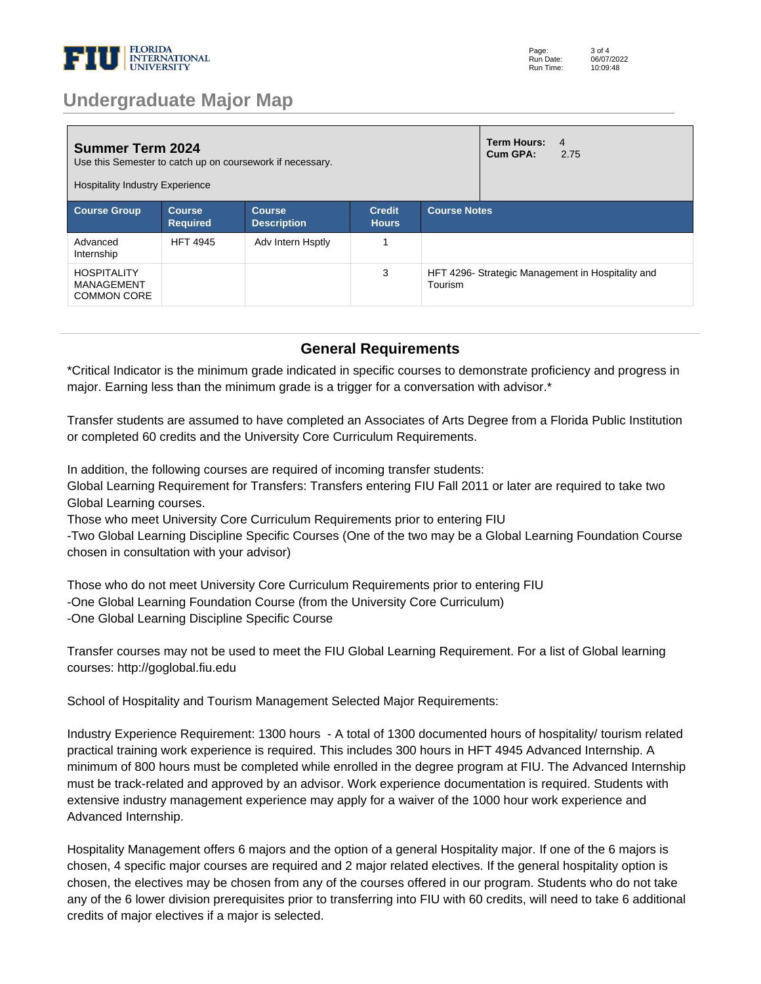

### **Undergraduate Major Map**

| <b>Summer Term 2024</b><br>Use this Semester to catch up on coursework if necessary.<br><b>Hospitality Industry Experience</b> |                                  |                                     |                               |                                                              | Term Hours:<br>Cum GPA: | $\overline{4}$<br>2.75 |
|--------------------------------------------------------------------------------------------------------------------------------|----------------------------------|-------------------------------------|-------------------------------|--------------------------------------------------------------|-------------------------|------------------------|
| <b>Course Group</b>                                                                                                            | <b>Course</b><br><b>Required</b> | <b>Course</b><br><b>Description</b> | <b>Credit</b><br><b>Hours</b> | <b>Course Notes</b>                                          |                         |                        |
| Advanced<br>Internship                                                                                                         | <b>HFT 4945</b>                  | Adv Intern Hsptly                   |                               |                                                              |                         |                        |
| <b>HOSPITALITY</b><br>MANAGEMENT<br><b>COMMON CORE</b>                                                                         |                                  |                                     | 3                             | HFT 4296- Strategic Management in Hospitality and<br>Tourism |                         |                        |

#### **General Requirements**

\*Critical Indicator is the minimum grade indicated in specific courses to demonstrate proficiency and progress in major. Earning less than the minimum grade is a trigger for a conversation with advisor.\*

Transfer students are assumed to have completed an Associates of Arts Degree from a Florida Public Institution or completed 60 credits and the University Core Curriculum Requirements. 

In addition, the following courses are required of incoming transfer students: 

Global Learning Requirement for Transfers: Transfers entering FIU Fall 2011 or later are required to take two Global Learning courses. 

Those who meet University Core Curriculum Requirements prior to entering FIU 

-Two Global Learning Discipline Specific Courses (One of the two may be a Global Learning Foundation Course chosen in consultation with your advisor) 

Those who do not meet University Core Curriculum Requirements prior to entering FIU -One Global Learning Foundation Course (from the University Core Curriculum) -One Global Learning Discipline Specific Course 

Transfer courses may not be used to meet the FIU Global Learning Requirement. For a list of Global learning courses: http://goglobal.fiu.edu 

School of Hospitality and Tourism Management Selected Major Requirements: 

Industry Experience Requirement: 1300 hours - A total of 1300 documented hours of hospitality/ tourism related practical training work experience is required. This includes 300 hours in HFT 4945 Advanced Internship. A minimum of 800 hours must be completed while enrolled in the degree program at FIU. The Advanced Internship must be track-related and approved by an advisor. Work experience documentation is required. Students with extensive industry management experience may apply for a waiver of the 1000 hour work experience and Advanced Internship. 

Hospitality Management offers 6 majors and the option of a general Hospitality major. If one of the 6 majors is chosen, 4 specific major courses are required and 2 major related electives. If the general hospitality option is chosen, the electives may be chosen from any of the courses offered in our program. Students who do not take any of the 6 lower division prerequisites prior to transferring into FIU with 60 credits, will need to take 6 additional credits of major electives if a major is selected.